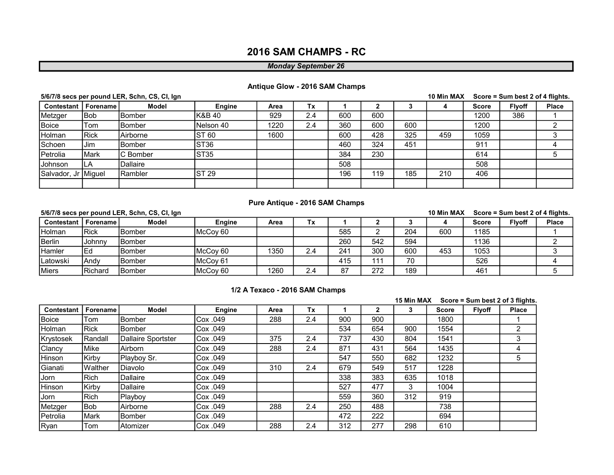# 2016 SAM CHAMPS - RC

#### Monday September 26

#### Antique Glow - 2016 SAM Champs

|                              |       | 5/6/7/8 secs per pound LER, Schn, CS, CI, Ign |                  |      |     |     |     |     | 10 Min MAX |              | Score = Sum best 2 of 4 flights. |              |
|------------------------------|-------|-----------------------------------------------|------------------|------|-----|-----|-----|-----|------------|--------------|----------------------------------|--------------|
| <b>Contestant   Forename</b> |       | <b>Model</b>                                  | Engine           | Area | Tx  |     |     |     |            | <b>Score</b> | <b>Flyoff</b>                    | <b>Place</b> |
| Metzger                      | lBob. | lBomber                                       | IK&B 40          | 929  | 2.4 | 600 | 600 |     |            | 1200         | 386                              |              |
| Boice                        | Tom   | lBomber                                       | Nelson 40        | 1220 | 2.4 | 360 | 600 | 600 |            | 1200         |                                  |              |
| Holman                       | IRick | Airborne                                      | <b>ST 60</b>     | 1600 |     | 600 | 428 | 325 | 459        | 1059         |                                  |              |
| Schoen                       | Jim   | lBomber                                       | ST <sub>36</sub> |      |     | 460 | 324 | 451 |            | 911          |                                  |              |
| Petrolia                     | Mark  | <b>C</b> Bomber                               | ST35             |      |     | 384 | 230 |     |            | 614          |                                  |              |
| <b>Johnson</b>               | ILA   | Dallaire                                      |                  |      |     | 508 |     |     |            | 508          |                                  |              |
| Salvador, Jr Miguel          |       | Rambler                                       | <b>ST 29</b>     |      |     | 196 | 119 | 185 | 210        | 406          |                                  |              |
|                              |       |                                               |                  |      |     |     |     |     |            |              |                                  |              |

#### Pure Antique - 2016 SAM Champs

# Contestant | Forename | Model | Engine | Area | Tx | 1 | 2 | 3 | 4 | Score | Flyoff | Place Holman Rick Bomber McCoy 60 585 2 204 600 1185 1 Berlin Johnny Bomber 1 1136 12 1136 260 542 594 1136 2 Hamler Ed Bomber McCoy 60 1350 2.4 241 300 600 453 1053 3 Latowski Andy Bomber McCoy 61 | 115 111 70 | 526 | 1 Miers Richard Bomber McCoy 60 1260 2.4 87 272 189 189 161 161 5/6/7/8 secs per pound LER, Schn, CS, CI, Ign 10 Min MAX Score = Sum best 2 of 4 flights.

#### 1/2 A Texaco - 2016 SAM Champs

|                   |              |                    |          |      |     |     |     | 15 Min MAX |       | Score = Sum best 2 of 3 flights. |              |
|-------------------|--------------|--------------------|----------|------|-----|-----|-----|------------|-------|----------------------------------|--------------|
| <b>Contestant</b> | Forename     | <b>Model</b>       | Engine   | Area | Tx  |     | 2   | 3          | Score | <b>Flyoff</b>                    | <b>Place</b> |
| <b>Boice</b>      | Tom          | <b>Bomber</b>      | Cox .049 | 288  | 2.4 | 900 | 900 |            | 1800  |                                  |              |
| Holman            | Rick         | <b>Bomber</b>      | Cox .049 |      |     | 534 | 654 | 900        | 1554  |                                  | 2            |
| Krystosek         | Randall      | Dallaire Sportster | Cox .049 | 375  | 2.4 | 737 | 430 | 804        | 1541  |                                  | 3            |
| Clancy            | Mike         | Airborn            | Cox .049 | 288  | 2.4 | 871 | 431 | 564        | 1435  |                                  | 4            |
| Hinson            | <b>Kirby</b> | Playboy Sr.        | Cox .049 |      |     | 547 | 550 | 682        | 1232  |                                  | 5            |
| Gianati           | IWalther     | Diavolo            | Cox .049 | 310  | 2.4 | 679 | 549 | 517        | 1228  |                                  |              |
| Jorn              | Rich         | Dallaire           | Cox .049 |      |     | 338 | 383 | 635        | 1018  |                                  |              |
| Hinson            | Kirby        | Dallaire           | Cox .049 |      |     | 527 | 477 | 3          | 1004  |                                  |              |
| Jorn              | Rich         | <b>IPlayboy</b>    | Cox .049 |      |     | 559 | 360 | 312        | 919   |                                  |              |
| Metzger           | Bob          | Airborne           | Cox .049 | 288  | 2.4 | 250 | 488 |            | 738   |                                  |              |
| Petrolia          | Mark         | lBomber            | Cox .049 |      |     | 472 | 222 |            | 694   |                                  |              |
| Ryan              | Tom          | Atomizer           | Cox .049 | 288  | 2.4 | 312 | 277 | 298        | 610   |                                  |              |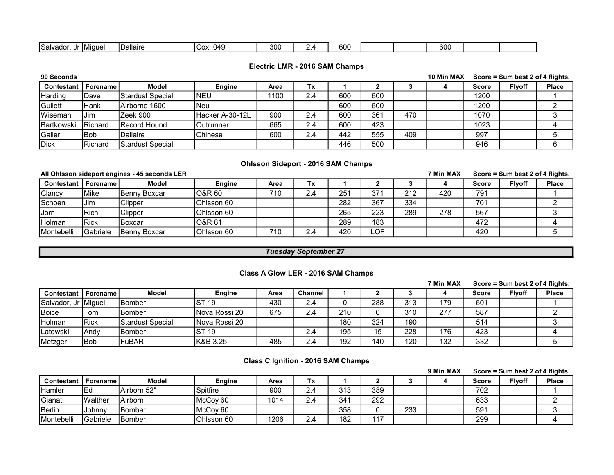| ouu<br>Jallo<br>.<br>ג נ<br><b>UU</b> | <b>ISalva</b><br>าดด | $ -$<br>HMiaue | والصالحة | ่^~<br>.049 | י∩ב |  | coc |  |  | 600 |  |  |  |
|---------------------------------------|----------------------|----------------|----------|-------------|-----|--|-----|--|--|-----|--|--|--|
|---------------------------------------|----------------------|----------------|----------|-------------|-----|--|-----|--|--|-----|--|--|--|

### Electric LMR - 2016 SAM Champs

| 90 Seconds |                 |                          |                  |      |     |     |     |     | 10 Min MAX |              | Score = Sum best 2 of 4 flights. |              |
|------------|-----------------|--------------------------|------------------|------|-----|-----|-----|-----|------------|--------------|----------------------------------|--------------|
| Contestant | <b>Forename</b> | <b>Model</b>             | Engine           | Area | Tх  |     |     |     |            | <b>Score</b> | <b>Flyoff</b>                    | <b>Place</b> |
| Harding    | 'Dave           | <b>IStardust Special</b> | NEU              | 1100 | 2.4 | 600 | 600 |     |            | 1200         |                                  |              |
| Gullett    | Hank            | Airborne 1600            | INeu             |      |     | 600 | 600 |     |            | 1200         |                                  |              |
| Wiseman    | Jim             | Zeek 900                 | IHacker A-30-12L | 900  | 2.4 | 600 | 361 | 470 |            | 1070         |                                  |              |
| Bartkowski | <b>IRichard</b> | <b>IRecord Hound</b>     | Outrunner        | 665  | 2.4 | 600 | 423 |     |            | 1023         |                                  |              |
| Galler     | lBob            | Dallaire                 | Chinese          | 600  | 2.4 | 442 | 555 | 409 |            | 997          |                                  |              |
| Dick       | <b>IRichard</b> | IStardust Special        |                  |      |     | 446 | 500 |     |            | 946          |                                  |              |

### Ohlsson Sideport - 2016 SAM Champs

|                |              | All Ohlsson sideport engines - 45 seconds LER |               |      |     |     |      |     | 7 Min MAX | Score = Sum best 2 of 4 flights. |               |              |
|----------------|--------------|-----------------------------------------------|---------------|------|-----|-----|------|-----|-----------|----------------------------------|---------------|--------------|
| Contestant     | Forename I   | <b>Model</b>                                  | <b>Engine</b> | Area | Tх  |     |      |     |           | <b>Score</b>                     | <b>Flyoff</b> | <b>Place</b> |
| <b>Clancy</b>  | <b>IMike</b> | IBennv Boxcar                                 | IO&R 60       | 710  | 2.4 | 251 | 371  | 212 | 420       | 791                              |               |              |
| <b>ISchoen</b> | Jim          | Clipper                                       | IOhlsson 60   |      |     | 282 | 367  | 334 |           | 701                              |               |              |
| Jorn           | l Rich       | Clipper                                       | Ohlsson 60    |      |     | 265 | 223  | 289 | 278       | 567                              |               |              |
| Holman         | IRick        | lBoxcar                                       | IO&R 61       |      |     | 289 | 183  |     |           | 472                              |               |              |
| Montebelli     | lGabriele    | <b>Benny Boxcar</b>                           | IOhlsson 60   | 710  | 2.4 | 420 | ∟OF∶ |     |           | 420                              |               |              |

### Tuesday September 27

### Class A Glow LER - 2016 SAM Champs

|                     |                 |                          |                |      |         |     |     |     | 7 Min MAX | Score = Sum best 2 of 4 flights. |               |              |
|---------------------|-----------------|--------------------------|----------------|------|---------|-----|-----|-----|-----------|----------------------------------|---------------|--------------|
| Contestant          | <b>Forename</b> | <b>Model</b>             | Engine         | Area | Channel |     |     |     |           | <b>Score</b>                     | <b>Flyoff</b> | <b>Place</b> |
| Salvador, Jr Miguel |                 | <b>Bomber</b>            | IST 19         | 430  | 2.4     |     | 288 | 313 | 179       | 601                              |               |              |
| Boice               | 'Tom            | <b>IBomber</b>           | INova Rossi 20 | 675  | 2.4     | 210 |     | 310 | 277       | 587                              |               |              |
| <b>Holman</b>       | <b>IRick</b>    | <b>IStardust Special</b> | INova Rossi 20 |      |         | 180 | 324 | 190 |           | 514                              |               |              |
| Latowski            | IAndv           | IBomber                  | <b>ST 19</b>   |      | 2.4     | 195 | 15  | 228 | 176       | 423                              |               |              |
| Metzger             | <b>IBob</b>     | <b>IFuBAR</b>            | IK&B 3.25      | 485  | 2.4     | 192 | 140 | 120 | 132       | 332                              |               |              |

# Class C Ignition - 2016 SAM Champs

|                    |                |                |                     |      |     |     |     |     | 9 Min MAX | Score = Sum best 2 of 4 flights.<br><b>Flvoff</b><br>Score |  |              |
|--------------------|----------------|----------------|---------------------|------|-----|-----|-----|-----|-----------|------------------------------------------------------------|--|--------------|
| Contestant         | Forename.      | <b>Model</b>   | <b>Engine</b>       | Area | Тx  |     |     |     |           |                                                            |  | <b>Place</b> |
| Hamler             | 1Ea            | Airborn 52"    | Spitfire            | 900  | 2.4 | 313 | 389 |     |           | 702                                                        |  |              |
| IGianati           | <b>Walther</b> | Airborn        | McCov 60            | 1014 | 2.4 | 341 | 292 |     |           | 633                                                        |  |              |
| <b>I</b> Berlin    | Johnnv         | IBomber        | McCov <sub>60</sub> |      |     | 358 |     | 233 |           | 591                                                        |  |              |
| <b>IMontebelli</b> | IGabriele      | <b>IBomber</b> | Ohlsson 60          | 1206 | 2.4 | 182 | 117 |     |           | 299                                                        |  |              |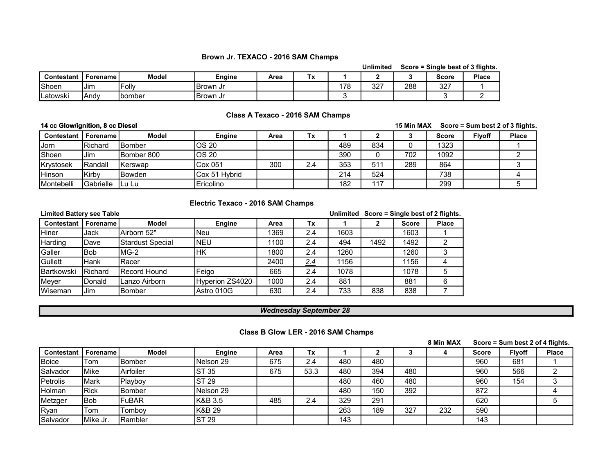#### Brown Jr. TEXACO - 2016 SAM Champs

|                 |                 |                |           |      |           |     | Unlimited |     | Score = Single best of 3 flights. |              |
|-----------------|-----------------|----------------|-----------|------|-----------|-----|-----------|-----|-----------------------------------|--------------|
| Contestant      | <b>Forename</b> | <b>Model</b>   | Enaine    | Area | Tv<br>' v |     |           |     | <b>Score</b>                      | <b>Place</b> |
| IShoen          | Jim             | 'Follv         | IBrown Jr |      |           | 178 | ר מ<br>ັ  | 288 | 327                               |              |
| <b>Latowski</b> | lAndv           | <b>Ibomber</b> | IBrown Jr |      |           |     |           |     |                                   |              |

### Class A Texaco - 2016 SAM Champs

#### 14 cc Glow/ignition, 8 cc Diesel

#### 15 Min MAX Score = Sum best 2 of 3 flights.

| <b>Contestant</b> | <b>Forename</b>   | <b>Model</b>   | <b>Engine</b>  | Area | Tx  |     |     |     | <b>Score</b> | <b>Flyoff</b> | <b>Place</b> |
|-------------------|-------------------|----------------|----------------|------|-----|-----|-----|-----|--------------|---------------|--------------|
| Jorn              | Richard           | <b>IBomber</b> | OS 20          |      |     | 489 | 834 |     | 1323         |               |              |
| IShoen            | Jim               | Bomber 800     | OS 20          |      |     | 390 |     | 702 | 1092         |               |              |
| <b>Krystosek</b>  | IRandall          | 'Kerswap       | Cox 051        | 300  | 2.4 | 353 | 51' | 289 | 864          |               |              |
| <b>IHinson</b>    | Kirbv             | <b>Bowden</b>  | ICox 51 Hvbrid |      |     | 214 | 524 |     | 738          |               |              |
| Montebelli        | <b>IGabrielle</b> | -ILu Lu        | Ericolino      |      |     | 182 | 117 |     | 299          |               |              |

### Electric Texaco - 2016 SAM Champs

| <b>Limited Battery see Table</b> |                   |                         |                 |      |     |      |      |              | Unlimited Score = Single best of 2 flights. |
|----------------------------------|-------------------|-------------------------|-----------------|------|-----|------|------|--------------|---------------------------------------------|
| Contestant                       | <b>Forename</b> I | <b>Model</b>            | Engine          | Area | Тx  |      | 2    | <b>Score</b> | <b>Place</b>                                |
| Hiner                            | Jack              | Airborn 52"             | lNeu            | 1369 | 2.4 | 1603 |      | 1603         |                                             |
| Harding                          | Dave              | <b>Stardust Special</b> | INEU            | 1100 | 2.4 | 494  | 1492 | 1492         |                                             |
| Galler                           | <b>Bob</b>        | IMG-2                   | lΗK             | 1800 | 2.4 | 1260 |      | 1260         | 3                                           |
| Gullett                          | Hank              | <b>Racer</b>            |                 | 2400 | 2.4 | 1156 |      | 1156         |                                             |
| <b>Bartkowski</b>                | <b>IRichard</b>   | <b>IRecord Hound</b>    | Feigo           | 665  | 2.4 | 1078 |      | 1078         |                                             |
| Meyer                            | Donald            | Lanzo Airborn           | Hyperion ZS4020 | 1000 | 2.4 | 881  |      | 881          | 6                                           |
| IWiseman                         | Jim               | <b>Bomber</b>           | Astro 010G      | 630  | 2.4 | 733  | 838  | 838          |                                             |

#### Wednesday September 28

#### Class B Glow LER - 2016 SAM Champs

|                       |               |                |               |      |      |     |     |     | 8 Min MAX | Score = Sum best 2 of 4 flights.<br><b>Flyoff</b><br><b>Score</b> |     |              |
|-----------------------|---------------|----------------|---------------|------|------|-----|-----|-----|-----------|-------------------------------------------------------------------|-----|--------------|
| Contestant   Forename |               | <b>Model</b>   | <b>Engine</b> | Area | ГΧ   |     |     |     |           |                                                                   |     | <b>Place</b> |
| Boice                 | Tom           | <b>IBomber</b> | Nelson 29     | 675  | 2.4  | 480 | 480 |     |           | 960                                                               | 681 |              |
| Salvador              | <b>I</b> Mike | Airfoiler      | <b>ST 35</b>  | 675  | 53.3 | 480 | 394 | 480 |           | 960                                                               | 566 |              |
| Petrolis              | <b>IMark</b>  | Playboy        | <b>ST 29</b>  |      |      | 480 | 460 | 480 |           | 960                                                               | 154 |              |
| Holman                | IRick         | lBomber        | INelson 29    |      |      | 480 | 150 | 392 |           | 872                                                               |     |              |
| Metzger               | lBob          | FuBAR          | lK&B 3.5      | 485  | 2.4  | 329 | 291 |     |           | 620                                                               |     |              |
| Ryan                  | Tom           | Tombov         | K&B 29        |      |      | 263 | 189 | 327 | 232       | 590                                                               |     |              |
| Salvador              | IMike Jr.     | <b>Rambler</b> | <b>ST 29</b>  |      |      | 143 |     |     |           | 143                                                               |     |              |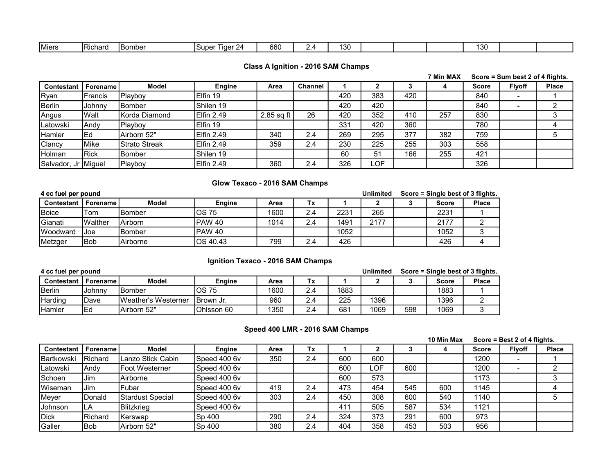### Class A Ignition - 2016 SAM Champs

|                     |               |                      |               |            |                |     |       |     | 7 Min MAX | Score = Sum best 2 of 4 flights. |               |              |
|---------------------|---------------|----------------------|---------------|------------|----------------|-----|-------|-----|-----------|----------------------------------|---------------|--------------|
| <b>Contestant</b>   | l Forename l  | <b>Model</b>         | <b>Engine</b> | Area       | <b>Channel</b> |     |       |     |           | <b>Score</b>                     | <b>Flyoff</b> | <b>Place</b> |
| Ryan                | Francis       | Playboy              | Elfin 19      |            |                | 420 | 383   | 420 |           | 840                              |               |              |
| <b>Berlin</b>       | <b>Johnny</b> | <b>Bomber</b>        | Shilen 19     |            |                | 420 | 420   |     |           | 840                              |               |              |
| Angus               | Walt          | Korda Diamond        | Elfin 2.49    | 2.85 sq ft | 26             | 420 | 352   | 410 | 257       | 830                              |               | ≏            |
| Latowski            | <b>Andy</b>   | Playboy              | IElfin 19     |            |                | 331 | 420   | 360 |           | 780                              |               |              |
| Hamler              | Ed            | Airborn 52"          | Elfin 2.49    | 340        | 2.4            | 269 | 295   | 377 | 382       | 759                              |               |              |
| Clancy              | Mike          | <b>Strato Streak</b> | Elfin 2.49    | 359        | 2.4            | 230 | 225   | 255 | 303       | 558                              |               |              |
| Holman              | Rick          | <b>I</b> Bomber      | Shilen 19     |            |                | 60  | 51    | 166 | 255       | 421                              |               |              |
| Salvador, Jr Miguel |               | Playboy              | Elfin 2.49    | 360        | 2.4            | 326 | ∟OF I |     |           | 326                              |               |              |

### Glow Texaco - 2016 SAM Champs

| 4 cc fuel per pound |                   |                |               | <b>Unlimited</b> | Score = Single best of 3 flights. |      |      |              |              |
|---------------------|-------------------|----------------|---------------|------------------|-----------------------------------|------|------|--------------|--------------|
| Contestant          | <b>Forename</b> I | <b>Model</b>   | <b>Engine</b> | Area             | Тx                                |      |      | <b>Score</b> | <b>Place</b> |
| <b>Boice</b>        | Tom               | IBomber        | IOS 75        | 1600             | 2.4                               | 2231 | 265  | 2231         |              |
| <b>I</b> Gianati    | IWalther          | <b>Airborn</b> | IPAW 40       | 1014             | 2.4                               | 1491 | 2177 | 2177         |              |
| <b>IWoodward</b>    | Joe               | <b>IBomber</b> | IPAW 40       |                  |                                   | 1052 |      | 1052         |              |
| Metzger             | 'Bob              | IAirborne      | IOS 40.43     | 799              | 2.4                               | 426  |      | 426          |              |

## Ignition Texaco - 2016 SAM Champs

| 4 cc fuel per pound |            |                             |                  | <b>Unlimited</b> |     | Score = Single best of 3 flights. |      |     |       |              |
|---------------------|------------|-----------------------------|------------------|------------------|-----|-----------------------------------|------|-----|-------|--------------|
| <b>Contestant</b>   | Forename I | <b>Model</b>                | <b>Engine</b>    | Area             | Тx  |                                   |      |     | Score | <b>Place</b> |
| <b>I</b> Berlin     | Johnny     | IBomber                     | OS 75            | 1600             | 2.4 | 1883                              |      |     | 1883  |              |
| <b>Harding</b>      | 'Dave      | <b>IWeather's Westerner</b> | <b>Brown Jr.</b> | 960              | 2.4 | 225                               | 1396 |     | 1396  |              |
| <b>Hamler</b>       | lEd        | Airborn 52"                 | Ohlsson 60       | 1350             | 2.4 | 681                               | 1069 | 598 | 1069  |              |

# Speed 400 LMR - 2016 SAM Champs

10 Min Max Score = Best 2 of 4 flights.

|                   |                 |                        |               |      |     |     |     | TU MIN MAX |     | $\text{score} = \text{best} \times \text{or} \text{4}$ ilignts. |               |              |
|-------------------|-----------------|------------------------|---------------|------|-----|-----|-----|------------|-----|-----------------------------------------------------------------|---------------|--------------|
| <b>Contestant</b> | Forename        | <b>Model</b>           | <b>Engine</b> | Area | Tx  |     |     |            |     | <b>Score</b>                                                    | <b>Flyoff</b> | <b>Place</b> |
| IBartkowski       | <b>Richard</b>  | ILanzo Stick Cabin     | Speed 400 6v  | 350  | 2.4 | 600 | 600 |            |     | 1200                                                            |               |              |
| Latowski          | lAndv           | <b>IFoot Westerner</b> | Speed 400 6v  |      |     | 600 | ∟OF | 600        |     | 1200                                                            |               |              |
| Schoen            | Jim             | lAirborne.             | Speed 400 6v  |      |     | 600 | 573 |            |     | 1173                                                            |               |              |
| Wiseman           | l Jim           | <b>IFubar</b>          | Speed 400 6v  | 419  | 2.4 | 473 | 454 | 545        | 600 | 1145                                                            |               |              |
| Meyer             | Donald          | Stardust Special       | Speed 400 6v  | 303  | 2.4 | 450 | 308 | 600        | 540 | 1140                                                            |               |              |
| Johnson           | LA              | Blitzkrieg             | Speed 400 6v  |      |     | 411 | 505 | 587        | 534 | 1121                                                            |               |              |
| Dick              | <b>IRichard</b> | IKerswap               | Sp 400        | 290  | 2.4 | 324 | 373 | 291        | 600 | 973                                                             |               |              |
| <b>Galler</b>     | lBob            | Airborn 52"            | Sp 400        | 380  | 2.4 | 404 | 358 | 453        | 503 | 956                                                             |               |              |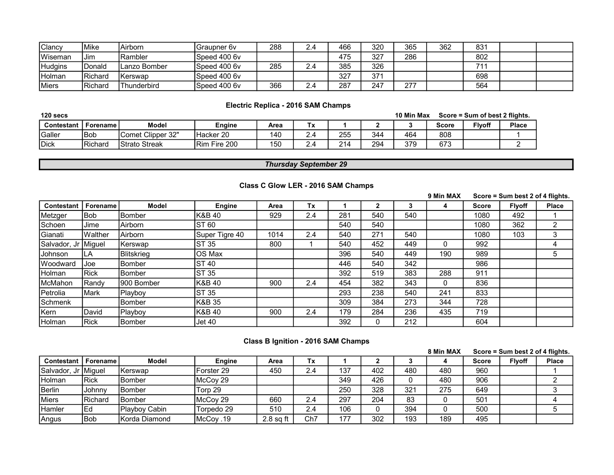| IClancv         | <b>IMike</b>    | Airborn        | Graupner 6y  | 288 | 2.4 | 466 | 320 | 365 | 362 | 831 |  |
|-----------------|-----------------|----------------|--------------|-----|-----|-----|-----|-----|-----|-----|--|
| <b>IWiseman</b> | Jim             | lRambler       | Speed 400 6v |     |     | 475 | 327 | 286 |     | 802 |  |
| <b>Hudgins</b>  | Donald          | Lanzo Bomber   | Speed 400 6y | 285 | 2.4 | 385 | 326 |     |     | 74. |  |
| Holman          | <b>IRichard</b> | <b>Kerswap</b> | Speed 400 6y |     |     | 327 | 371 |     |     | 698 |  |
| <b>IMiers</b>   | <b>IRichard</b> | 'Thunderbird   | Speed 400 6y | 366 | 2.4 | 287 | 247 | 277 |     | 564 |  |

# Electric Replica - 2016 SAM Champs

| 120 secs       |                 |                      | 10 Min Max    |      | Score = Sum of best 2 flights.            |     |     |     |              |               |              |
|----------------|-----------------|----------------------|---------------|------|-------------------------------------------|-----|-----|-----|--------------|---------------|--------------|
| Contestant     | Forename        | Model                | Enaine        | Area | $T_{\rm tot}$<br>$\overline{\phantom{a}}$ |     |     |     | <b>Score</b> | <b>Flvoff</b> | <b>Place</b> |
| <b>IGaller</b> | <b>IBob</b>     | IComet Clipper 32"   | Hacker 20     | 140  |                                           | 255 | 344 | 464 | 808          |               |              |
| <b>IDick</b>   | <b>IRichard</b> | <b>Strato Streak</b> | IRim Fire 200 | 150  | ∽                                         | 214 | 294 | 379 | 673          |               |              |

# Thursday September 29

|                     |               |                   |                |      |     |     |              |     | 9 Min MAX    | Score = Sum best 2 of 4 flights. |               |              |
|---------------------|---------------|-------------------|----------------|------|-----|-----|--------------|-----|--------------|----------------------------------|---------------|--------------|
| <b>Contestant</b>   | Forename      | <b>Model</b>      | <b>Engine</b>  | Area | Tx  |     |              |     | 4            | <b>Score</b>                     | <b>Flyoff</b> | <b>Place</b> |
| Metzger             | lBob.         | <b>Bomber</b>     | K&B 40         | 929  | 2.4 | 281 | 540          | 540 |              | 1080                             | 492           |              |
| Schoen              | Jime          | Airborn           | <b>ST 60</b>   |      |     | 540 | 540          |     |              | 1080                             | 362           | 2            |
| Gianati             | IWalther      | Airborn           | Super Tigre 40 | 1014 | 2.4 | 540 | 271          | 540 |              | 1080                             | 103           | 3            |
| Salvador, Jr Miguel |               | Kerswap           | ST 35          | 800  |     | 540 | 452          | 449 | $\Omega$     | 992                              |               | 4            |
| Johnson             | LA            | <b>Blitskrieg</b> | IOS Max        |      |     | 396 | 540          | 449 | 190          | 989                              |               | 5            |
| Woodward            | IJoe          | <b>Bomber</b>     | <b>ST 40</b>   |      |     | 446 | 540          | 342 |              | 986                              |               |              |
| Holman              | <b>Rick</b>   | Bomber            | ST35           |      |     | 392 | 519          | 383 | 288          | 911                              |               |              |
| McMahon             | Randv         | 900 Bomber        | K&B 40         | 900  | 2.4 | 454 | 382          | 343 | $\mathbf{0}$ | 836                              |               |              |
| Petrolia            | <b>Mark</b>   | Playboy           | <b>ST 35</b>   |      |     | 293 | 238          | 540 | 241          | 833                              |               |              |
| Schmenk             |               | <b>Bomber</b>     | K&B 35         |      |     | 309 | 384          | 273 | 344          | 728                              |               |              |
| Kern                | <b>IDavid</b> | Playboy           | lK&B 40        | 900  | 2.4 | 179 | 284          | 236 | 435          | 719                              |               |              |
| Holman              | <b>Rick</b>   | <b>Bomber</b>     | Jet 40         |      |     | 392 | $\mathbf{0}$ | 212 |              | 604                              |               |              |

### Class C Glow LER - 2016 SAM Champs

# Class B Ignition - 2016 SAM Champs

|                              |               |                |               |             |     |     |     |     | 8 Min MAX |       | Score = Sum best 2 of 4 flights. |              |  |
|------------------------------|---------------|----------------|---------------|-------------|-----|-----|-----|-----|-----------|-------|----------------------------------|--------------|--|
| <b>Contestant   Forename</b> |               | <b>Model</b>   | <b>Engine</b> | Area        | Гx  |     |     |     |           | Score | <b>Flyoff</b>                    | <b>Place</b> |  |
| Salvador, Jr Miguel          |               | lKerswap       | IForster 29   | 450         | 2.4 | 137 | 402 | 480 | 480       | 960   |                                  |              |  |
| <b>Holman</b>                | <b>IRick</b>  | IBomber        | McCoy 29      |             |     | 349 | 426 |     | 480       | 906   |                                  |              |  |
| Berlin                       | <b>Johnny</b> | <b>Bomber</b>  | Torp 29       |             |     | 250 | 328 | 321 | 275       | 649   |                                  |              |  |
| Miers                        | IRichard      | <b>IBomber</b> | IMcCov 29     | 660         | 2.4 | 297 | 204 | 83  |           | 501   |                                  |              |  |
| Hamler                       | lEd           | Plavbov Cabin  | Torpedo 29    | 510         | 2.4 | 106 |     | 394 |           | 500   |                                  |              |  |
| Angus                        | <b>I</b> Bob  | IKorda Diamond | McCoy .19     | $2.8$ sa ft | Ch7 | 177 | 302 | 193 | 189       | 495   |                                  |              |  |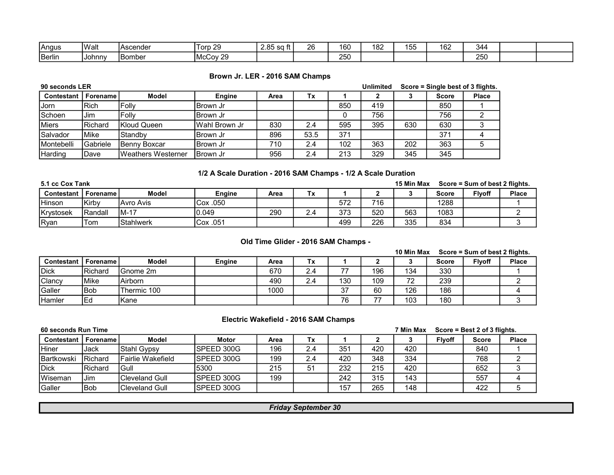| IAnaus | IWalt         | <b>IAscender</b> | Torp 29               | 2.85<br><br>sa ft | ጋፍ | 160        | 182 | $ -$<br>・・<br>$\sim$ | 162 | .344 |  |
|--------|---------------|------------------|-----------------------|-------------------|----|------------|-----|----------------------|-----|------|--|
| Berlin | <b>Johnny</b> | <b>IBomber</b>   | -29<br>IMcCov<br>ົົດນ |                   |    | つらの<br>∠∪⊾ |     |                      |     | 250  |  |

### Brown Jr. LER - 2016 SAM Champs

| 90 seconds LER    |                 |                            |                | <b>Unlimited</b> |      | Score = Single best of 3 flights. |     |     |              |              |
|-------------------|-----------------|----------------------------|----------------|------------------|------|-----------------------------------|-----|-----|--------------|--------------|
| Contestant        | . Forename l    | Model                      | Engine         | Area             | Tx   |                                   |     |     | <b>Score</b> | <b>Place</b> |
| Jorn              | <b>Rich</b>     | <b>Follv</b>               | ∣Brown Jr      |                  |      | 850                               | 419 |     | 850          |              |
| Schoen            | Jim             | <b>Follv</b>               | IBrown Jr      |                  |      |                                   | 756 |     | 756          |              |
| <b>I</b> Miers    | <b>IRichard</b> | Kloud Queen                | lWahl Brown Jr | 830              | 2.4  | 595                               | 395 | 630 | 630          |              |
| Salvador          | Mike            | IStandbv                   | IBrown Jr      | 896              | 53.5 | 371                               |     |     | 371          |              |
| <b>Montebelli</b> | <b>Gabriele</b> | Benny Boxcar               | IBrown Jr      | 710              | 2.4  | 102                               | 363 | 202 | 363          |              |
| <b>Harding</b>    | Dave            | <b>IWeathers Westerner</b> | IBrown Jr      | 956              | 2.4  | 213                               | 329 | 345 | 345          |              |

## 1/2 A Scale Duration - 2016 SAM Champs - 1/2 A Scale Duration

| 5.1 cc Cox Tank   |          |                  |            | 15 Min Max |          | Score = Sum of best 2 flights. |     |     |              |               |              |
|-------------------|----------|------------------|------------|------------|----------|--------------------------------|-----|-----|--------------|---------------|--------------|
| <b>Contestant</b> | Forename | <b>Model</b>     | Enaine     | Area       | Tv.<br>^ |                                |     |     | <b>Score</b> | <b>Flyoff</b> | <b>Place</b> |
| Hinson            | lKirbv   | <b>Avro Avis</b> | $Cox$ .050 |            |          | 572                            | 716 |     | 1288         |               |              |
| <b>Krystosek</b>  | IRandall | IM-17            | 0.049      | 290        | ⌒<br>، ے | 373                            | 520 | 563 | 1083         |               |              |
| <b>IRvan</b>      | Tom      | <b>Stahlwerk</b> | Cox .051   |            |          | 499                            | 226 | 335 | 834          |               |              |

#### Old Time Glider - 2016 SAM Champs -

|             |                 |                  |               |      |     |                          |     | 10 Min Max |              | Score = Sum of best 2 flights. |              |
|-------------|-----------------|------------------|---------------|------|-----|--------------------------|-----|------------|--------------|--------------------------------|--------------|
| Contestant  | <b>Forename</b> | <b>Model</b>     | <b>Engine</b> | Area | Tx  |                          |     |            | <b>Score</b> | <b>Flyoff</b>                  | <b>Place</b> |
| <b>Dick</b> | IRichard        | <b>IGnome 2m</b> |               | 670  | 2.4 | $\overline{\phantom{a}}$ | 196 | 134        | 330          |                                |              |
| Clancy      | <b>IMike</b>    | <b>Airborn</b>   |               | 490  | 2.4 | 130                      | 109 | 72         | 239          |                                |              |
| Galler      | lBob            | lThermic 100     |               | 1000 |     | 37                       | 60  | 126        | 186          |                                |              |
| Hamler      | lEd             | IKane            |               |      |     | 76                       |     | 103        | 180          |                                |              |

### Electric Wakefield - 2016 SAM Champs

| 60 seconds Run Time |             |                        |                    |      |     |     |     | 7 Min Max<br>Score = Best 2 of 3 flights. |               |              |              |
|---------------------|-------------|------------------------|--------------------|------|-----|-----|-----|-------------------------------------------|---------------|--------------|--------------|
| Contestant          | Forename I  | Model                  | <b>Motor</b>       | Area | Тx  |     |     |                                           | <b>Flvoff</b> | <b>Score</b> | <b>Place</b> |
| IHiner              | <b>Jack</b> | Stahl Gypsy            | <b>ISPEED 300G</b> | 196  | 2.4 | 351 | 420 | 420                                       |               | 840          |              |
| <b>Bartkowski</b>   | Richard     | l Fairlie Wakefield    | ISPEED 300G        | 199  | 2.4 | 420 | 348 | 334                                       |               | 768          |              |
| <b>IDick</b>        | Richard     | Gull                   | 5300               | 215  | 51  | 232 | 215 | 420                                       |               | 652          |              |
| <b>IWiseman</b>     | Jim         | <b>Cleveland Gull</b>  | ISPEED 300G        | 199  |     | 242 | 315 | 143                                       |               | 557          |              |
| Galler              | 'Bob        | <b>ICleveland Gull</b> | ISPEED 300G        |      |     | 157 | 265 | 148                                       |               | 422          |              |

Friday September 30